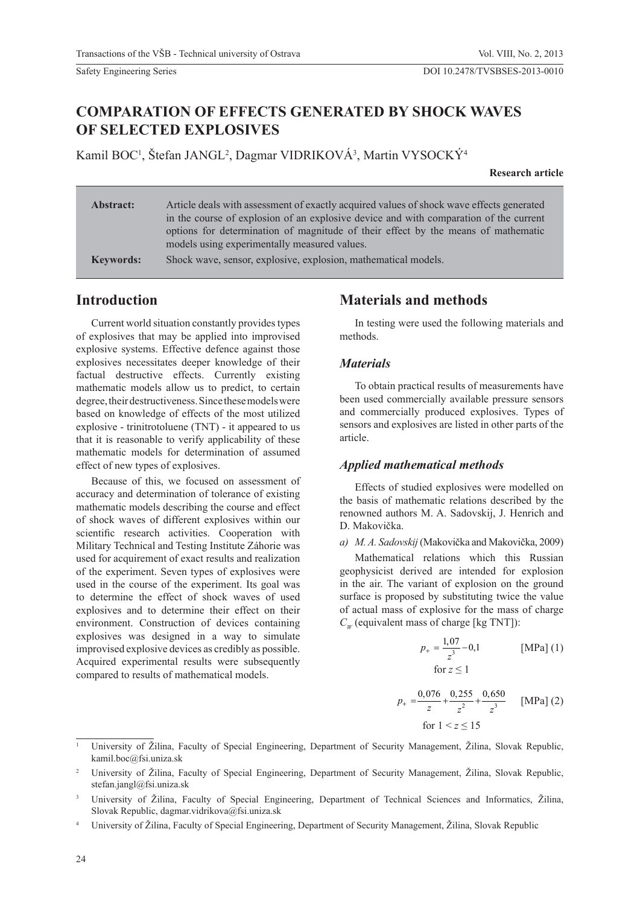# **COMPARATION OF EFFECTS GENERATED BY SHOCK WAVES OF SELECTED EXPLOSIVES**

Kamil BOC<sup>1</sup>, Štefan JANGL<sup>2</sup>, Dagmar VIDRIKOVÁ<sup>3</sup>, Martin VYSOCKÝ<sup>4</sup>

**Research article**

| <b>Abstract:</b> | Article deals with assessment of exactly acquired values of shock wave effects generated |
|------------------|------------------------------------------------------------------------------------------|
|                  | in the course of explosion of an explosive device and with comparation of the current    |
|                  | options for determination of magnitude of their effect by the means of mathematic        |
|                  | models using experimentally measured values.                                             |
| <b>Keywords:</b> | Shock wave, sensor, explosive, explosion, mathematical models.                           |

**Introduction**

Current world situation constantly provides types of explosives that may be applied into improvised explosive systems. Effective defence against those explosives necessitates deeper knowledge of their factual destructive effects. Currently existing mathematic models allow us to predict, to certain degree, their destructiveness. Since these models were based on knowledge of effects of the most utilized explosive - trinitrotoluene (TNT) - it appeared to us that it is reasonable to verify applicability of these mathematic models for determination of assumed effect of new types of explosives.

Because of this, we focused on assessment of accuracy and determination of tolerance of existing mathematic models describing the course and effect of shock waves of different explosives within our scientific research activities. Cooperation with Military Technical and Testing Institute Záhorie was used for acquirement of exact results and realization of the experiment. Seven types of explosives were used in the course of the experiment. Its goal was to determine the effect of shock waves of used explosives and to determine their effect on their environment. Construction of devices containing explosives was designed in a way to simulate improvised explosive devices as credibly as possible. Acquired experimental results were subsequently compared to results of mathematical models.

## **Materials and methods**

In testing were used the following materials and methods.

#### *Materials*

To obtain practical results of measurements have been used commercially available pressure sensors and commercially produced explosives. Types of sensors and explosives are listed in other parts of the article.

### *Applied mathematical methods*

Effects of studied explosives were modelled on the basis of mathematic relations described by the renowned authors M. A. Sadovskij, J. Henrich and D. Makovička.

*a) M. A. Sadovskij* (Makovička and Makovička, 2009)

Mathematical relations which this Russian geophysicist derived are intended for explosion in the air. The variant of explosion on the ground surface is proposed by substituting twice the value of actual mass of explosive for the mass of charge  $C_w$  (equivalent mass of charge [kg TNT]):

$$
p_{+} = \frac{1,07}{z^{3}} - 0,1
$$
 [MPa] (1)  
for  $z \le 1$ 

$$
p_{+} = \frac{0.076}{z} + \frac{0.255}{z^{2}} + \frac{0.650}{z^{3}}
$$
 [MPa] (2)  
for  $1 < z \le 15$ 

<sup>1</sup> University of Žilina, Faculty of Special Engineering, Department of Security Management, Žilina, Slovak Republic, kamil.boc@fsi.uniza.sk

<sup>2</sup> University of Žilina, Faculty of Special Engineering, Department of Security Management, Žilina, Slovak Republic, stefan.jangl@fsi.uniza.sk

<sup>3</sup> University of Žilina, Faculty of Special Engineering, Department of Technical Sciences and Informatics, Žilina, Slovak Republic, dagmar.vidrikova@fsi.uniza.sk

<sup>4</sup> University of Žilina, Faculty of Special Engineering, Department of Security Management, Žilina, Slovak Republic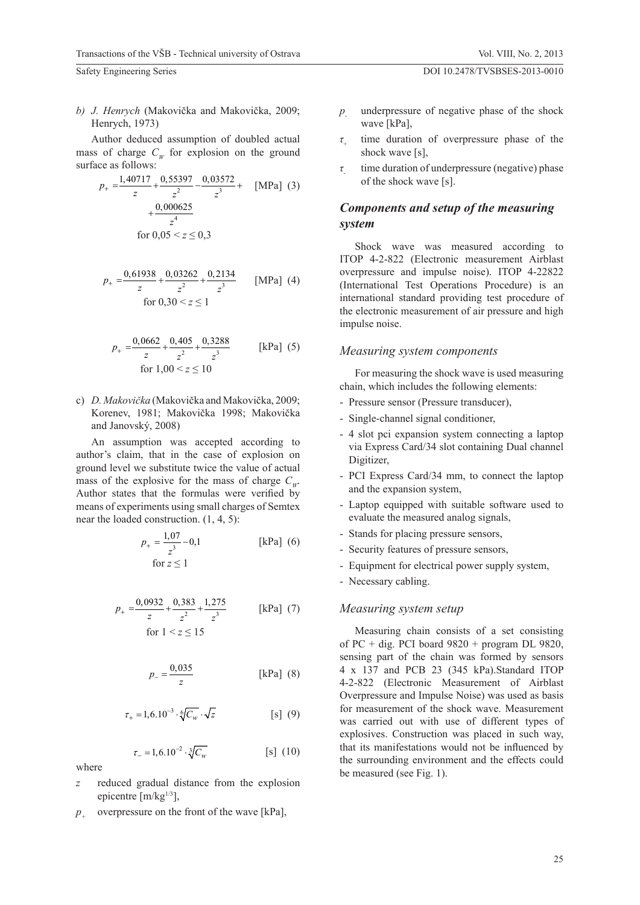*b) J. Henrych* (Makovička and Makovička, 2009; Henrych, 1973)

Author deduced assumption of doubled actual mass of charge  $C_w$  for explosion on the ground surface as follows:

$$
p_{+} = \frac{1,40717}{z} + \frac{0,55397}{z^{2}} - \frac{0,03572}{z^{3}} + \quad \text{[MPa]} \tag{3}
$$

$$
+ \frac{0,000625}{z^{4}}
$$
for 0,05 < z \le 0,3

$$
p_{+} = \frac{0,61938}{z} + \frac{0,03262}{z^{2}} + \frac{0,2134}{z^{3}}
$$
 [MPa] (4)  
for 0,30 < z \le 1

$$
p_{+} = \frac{0.0662}{z} + \frac{0.405}{z^{2}} + \frac{0.3288}{z^{3}}
$$
 [kPa] (5)  
for 1,00 < z \le 10

c) *D. Makovička* (Makovička and Makovička, 2009; Korenev, 1981; Makovička 1998; Makovička and Janovský, 2008)

An assumption was accepted according to author's claim, that in the case of explosion on ground level we substitute twice the value of actual mass of the explosive for the mass of charge  $C_w$ . Author states that the formulas were verified by means of experiments using small charges of Semtex near the loaded construction. (1, 4, 5):

$$
p_{+} = \frac{1,07}{z^{3}} - 0,1
$$
 [kPa] (6)  
for  $z \le 1$ 

$$
p_{+} = \frac{0.0932}{z} + \frac{0.383}{z^{2}} + \frac{1.275}{z^{3}}
$$
 [kPa] (7)  
for  $1 < z \le 15$ 

$$
p_{-} = \frac{0.035}{z} \qquad \qquad \text{[kPa]} (8)
$$

$$
\tau_{+} = 1, 6.10^{-3} \cdot \sqrt[6]{C_w} \cdot \sqrt{z} \qquad [s] (9)
$$

$$
\tau_{-} = 1, 6.10^{-2} \cdot \sqrt[3]{C_w} \tag{S} \tag{10}
$$

- where
- *z* reduced gradual distance from the explosion epicentre  $[m/kg^{1/3}]$ ,
- *p* overpressure on the front of the wave [kPa],
- *p* underpressure of negative phase of the shock wave [kPa],
- *τ*+ time duration of overpressure phase of the shock wave [s],
- *τ* time duration of underpressure (negative) phase of the shock wave [s].

## *Components and setup of the measuring system*

Shock wave was measured according to ITOP 4-2-822 (Electronic measurement Airblast overpressure and impulse noise). ITOP 4-22822 (International Test Operations Procedure) is an international standard providing test procedure of the electronic measurement of air pressure and high impulse noise.

### *Measuring system components*

For measuring the shock wave is used measuring chain, which includes the following elements:

- Pressure sensor (Pressure transducer),
- Single-channel signal conditioner,
- 4 slot pci expansion system connecting a laptop via Express Card/34 slot containing Dual channel Digitizer,
- PCI Express Card/34 mm, to connect the laptop and the expansion system,
- Laptop equipped with suitable software used to evaluate the measured analog signals,
- Stands for placing pressure sensors,
- Security features of pressure sensors,
- Equipment for electrical power supply system,
- Necessary cabling.

## *Measuring system setup*

Measuring chain consists of a set consisting of PC + dig. PCI board  $9820 +$  program DL  $9820$ , sensing part of the chain was formed by sensors 4 x 137 and PCB 23 (345 kPa).Standard ITOP 4-2-822 (Electronic Measurement of Airblast Overpressure and Impulse Noise) was used as basis for measurement of the shock wave. Measurement was carried out with use of different types of explosives. Construction was placed in such way, that its manifestations would not be influenced by the surrounding environment and the effects could be measured (see Fig. 1).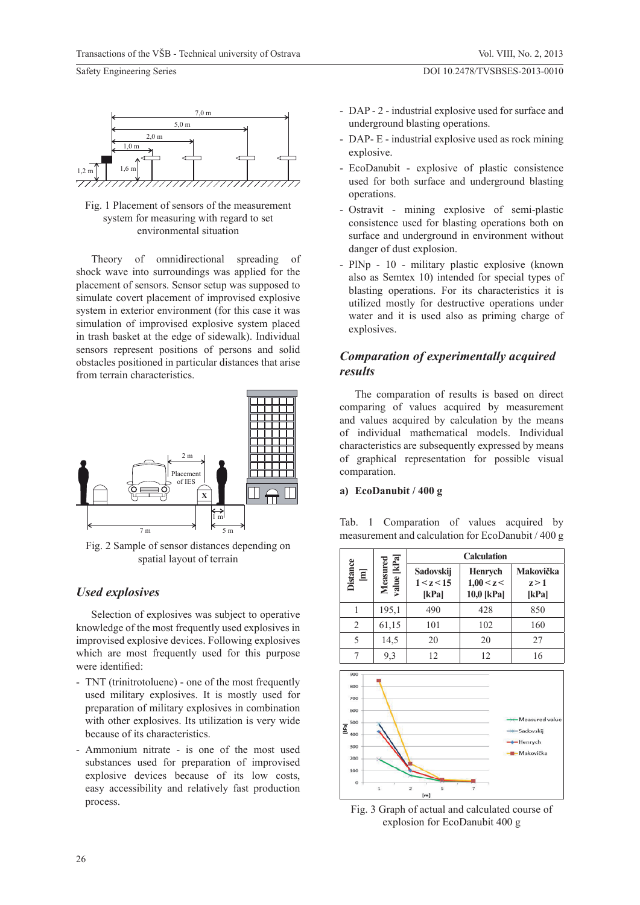

Fig. 1 Placement of sensors of the measurement system for measuring with regard to set environmental situation

Theory of omnidirectional spreading of shock wave into surroundings was applied for the placement of sensors. Sensor setup was supposed to simulate covert placement of improvised explosive system in exterior environment (for this case it was simulation of improvised explosive system placed in trash basket at the edge of sidewalk). Individual sensors represent positions of persons and solid obstacles positioned in particular distances that arise from terrain characteristics.



Fig. 2 Sample of sensor distances depending on spatial layout of terrain

### *Used explosives*

Selection of explosives was subject to operative knowledge of the most frequently used explosives in improvised explosive devices. Following explosives which are most frequently used for this purpose were identified:

- TNT (trinitrotoluene) one of the most frequently used military explosives. It is mostly used for preparation of military explosives in combination with other explosives. Its utilization is very wide because of its characteristics.
- Ammonium nitrate is one of the most used substances used for preparation of improvised explosive devices because of its low costs, easy accessibility and relatively fast production process.

Vol. VIII, No. 2, 2013

DOI 10.2478/TVSBSES-2013-0010

- DAP 2 industrial explosive used for surface and underground blasting operations.
- DAP- E industrial explosive used as rock mining explosive.
- EcoDanubit explosive of plastic consistence used for both surface and underground blasting operations.
- Ostravit mining explosive of semi-plastic consistence used for blasting operations both on surface and underground in environment without danger of dust explosion.
- PlNp 10 military plastic explosive (known also as Semtex 10) intended for special types of blasting operations. For its characteristics it is utilized mostly for destructive operations under water and it is used also as priming charge of explosives.

## *Comparation of experimentally acquired results*

The comparation of results is based on direct comparing of values acquired by measurement and values acquired by calculation by the means of individual mathematical models. Individual characteristics are subsequently expressed by means of graphical representation for possible visual comparation.

#### **a) EcoDanubit / 400 g**

Tab. 1 Comparation of values acquired by measurement and calculation for EcoDanubit / 400 g



Fig. 3 Graph of actual and calculated course of explosion for EcoDanubit 400 g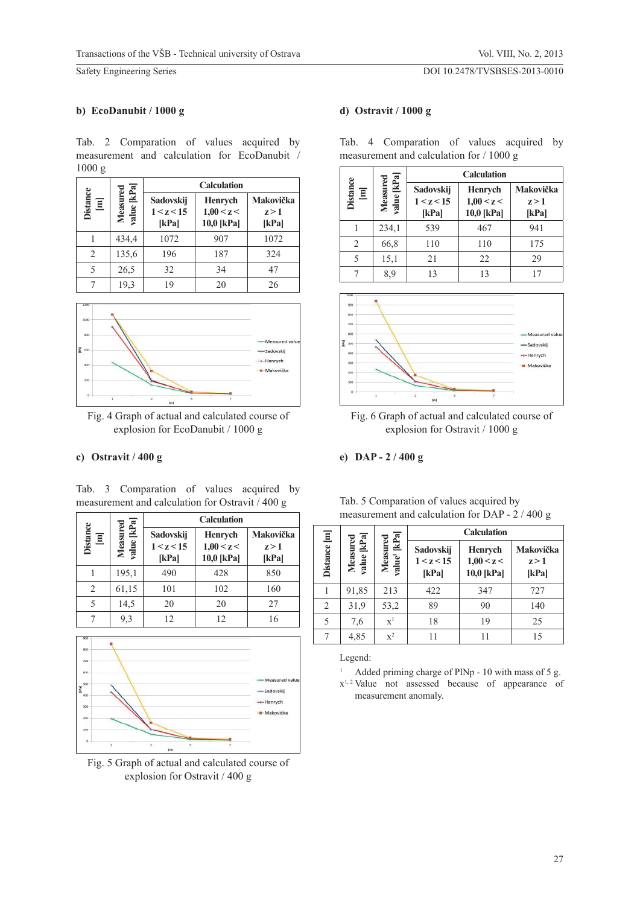#### DOI 10.2478/TVSBSES-2013-0010

#### **b) EcoDanubit / 1000 g**

Tab. 2 Comparation of values acquired by measurement and calculation for EcoDanubit / 1000 g

|                                     |                       | <b>Calculation</b>               |                                     |                             |  |  |
|-------------------------------------|-----------------------|----------------------------------|-------------------------------------|-----------------------------|--|--|
| <b>Distance</b><br>$\overline{\Xi}$ | kPa<br>Measu<br>value | Sadovskij<br>1 < z < 15<br>[kPa] | Henrych<br>1,00 < z <<br>10,0 [kPa] | Makovička<br>z > 1<br>[kPa] |  |  |
|                                     | 434,4                 | 1072                             | 907                                 | 1072                        |  |  |
| $\overline{c}$                      | 135,6                 | 196                              | 187                                 | 324                         |  |  |
| 5                                   | 26,5                  | 32                               | 34                                  | 47                          |  |  |
|                                     | 19,3                  | 19                               | 20                                  | 26                          |  |  |



Fig. 4 Graph of actual and calculated course of explosion for EcoDanubit / 1000 g

### **c) Ostravit / 400 g**

Tab. 3 Comparation of values acquired by measurement and calculation for Ostravit / 400 g

|                          | red                     |                                  | <b>Calculation</b>                         |                             |  |  |
|--------------------------|-------------------------|----------------------------------|--------------------------------------------|-----------------------------|--|--|
| <b>Distance</b><br>$\Xi$ | [kPa]<br>Measu<br>value | Sadovskij<br>1 < z < 15<br>[kPa] | <b>Henrych</b><br>1,00 < z <<br>10,0 [kPa] | Makovička<br>z > 1<br>[kPa] |  |  |
|                          | 195,1                   | 490                              | 428                                        | 850                         |  |  |
| 2                        | 61,15                   | 101                              | 102                                        | 160                         |  |  |
| 5                        | 14,5                    | 20                               | 20                                         | 27                          |  |  |
|                          | 9,3                     | 12                               | 12                                         | 16                          |  |  |



Fig. 5 Graph of actual and calculated course of explosion for Ostravit / 400 g

## **d) Ostravit / 1000 g**

|                      |                           | <b>Calculation</b>               |                                            |                             |  |
|----------------------|---------------------------|----------------------------------|--------------------------------------------|-----------------------------|--|
| <b>Distance</b><br>冝 | kPa <br>Measurec<br>value | Sadovskij<br>1 < z < 15<br>[kPa] | <b>Henrych</b><br>1,00 < z <<br>10,0 [kPa] | Makovička<br>z > 1<br>[kPa] |  |
|                      | 234,1                     | 539                              | 467                                        | 941                         |  |
| 2                    | 66,8                      | 110                              | 110                                        | 175                         |  |
| 5                    | 15,1                      | 21                               | 22                                         | 29                          |  |
|                      | 8,9                       | 13                               | 13                                         | 17                          |  |



Fig. 6 Graph of actual and calculated course of explosion for Ostravit / 1000 g

#### **e) DAP - 2 / 400 g**

|                | measurement and calculation for DAP - 2 / 400 g |                                      |                                  |                                            |                             |  |  |
|----------------|-------------------------------------------------|--------------------------------------|----------------------------------|--------------------------------------------|-----------------------------|--|--|
|                | <b>Calculation</b>                              |                                      |                                  |                                            |                             |  |  |
| Distance [m]   | Measured<br>value [kPa]                         | Measured<br>value <sup>1</sup> [kPa] | Sadovskij<br>1 < z < 15<br>[kPa] | <b>Henrych</b><br>1,00 < z <<br>10,0 [kPa] | Makovička<br>z > 1<br>[kPa] |  |  |
|                | 91,85                                           | 213                                  | 422                              | 347                                        | 727                         |  |  |
| $\overline{2}$ | 31,9                                            | 53,2                                 | 89                               | 90                                         | 140                         |  |  |
| 5              | 7,6                                             | $\mathbf{x}^1$                       | 18                               | 19                                         | 25                          |  |  |
|                | 4,85                                            | $x^2$                                |                                  |                                            | 15                          |  |  |

Tab. 5 Comparation of values acquired by

Legend:

- 1 Added priming charge of PlNp - 10 with mass of 5 g.
- $x<sup>1, 2</sup>$  Value not assessed because of appearance of measurement anomaly.

Tab. 4 Comparation of values acquired by measurement and calculation for / 1000 g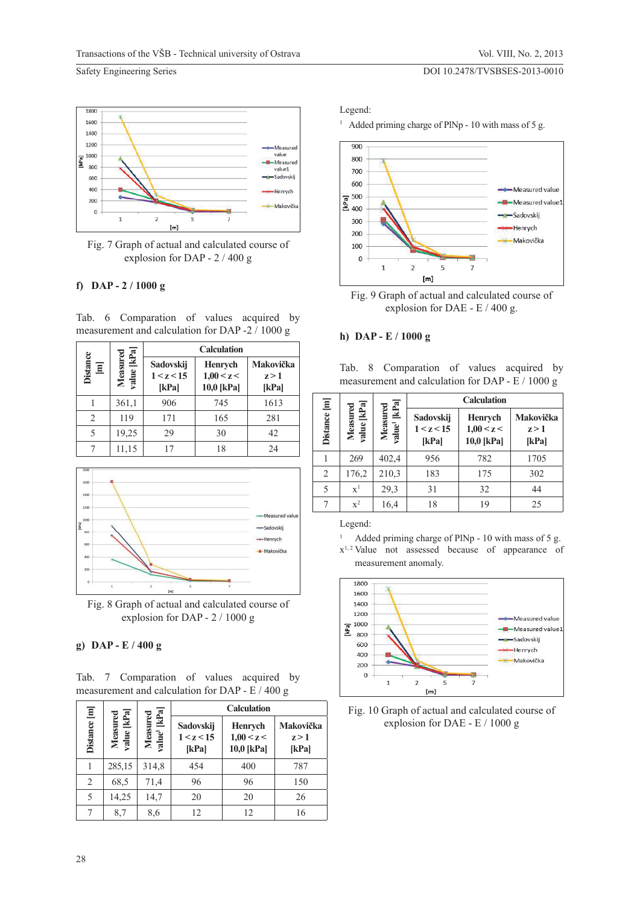#### DOI 10.2478/TVSBSES-2013-0010



Fig. 7 Graph of actual and calculated course of explosion for DAP - 2 / 400 g

#### **f) DAP - 2 / 1000 g**

Tab. 6 Comparation of values acquired by measurement and calculation for DAP -2 / 1000 g

|                                     |                    | <b>Calculation</b>               |                                            |                             |  |  |
|-------------------------------------|--------------------|----------------------------------|--------------------------------------------|-----------------------------|--|--|
| <b>Distance</b><br>$\overline{\Xi}$ | alue [kPa<br>Measu | Sadovskij<br>1 < z < 15<br>[kPa] | <b>Henrych</b><br>1,00 < z <<br>10,0 [kPa] | Makovička<br>z > 1<br>[kPa] |  |  |
|                                     | 361,1              | 906                              | 745                                        | 1613                        |  |  |
| 2                                   | 119                | 171                              | 165                                        | 281                         |  |  |
| 5                                   | 19,25              | 29                               | 30                                         | 42                          |  |  |
|                                     | 11,15              |                                  | 18                                         | 24                          |  |  |



Fig. 8 Graph of actual and calculated course of explosion for DAP - 2 / 1000 g

#### **g) DAP - E / 400 g**

Tab. 7 Comparation of values acquired by measurement and calculation for DAP - E / 400 g

|                |                        | <b>Calculation</b>                   |                                  |                                     |                             |
|----------------|------------------------|--------------------------------------|----------------------------------|-------------------------------------|-----------------------------|
| Distance [m]   | value [kPa<br>Measured | value <sup>1</sup> [kPa]<br>Measured | Sadovskij<br>1 < z < 15<br>[kPa] | Henrych<br>1,00 < z <<br>10,0 [kPa] | Makovička<br>z > 1<br>[kPa] |
|                | 285,15                 | 314,8                                | 454                              | 400                                 | 787                         |
| $\overline{2}$ | 68,5                   | 71,4                                 | 96                               | 96                                  | 150                         |
| 5              | 14,25                  | 14,7                                 | 20                               | 20                                  | 26                          |
| 7              | 8,7                    | 8,6                                  | 12                               | 12                                  | 16                          |

Legend:

<sup>1</sup> Added priming charge of PlNp - 10 with mass of 5 g.



Fig. 9 Graph of actual and calculated course of explosion for DAE - E / 400 g.

#### **h) DAP - E / 1000 g**

Tab. 8 Comparation of values acquired by measurement and calculation for DAP - E / 1000 g

|              |                          |                                         |                                  | <b>Calculation</b>                         |                             |
|--------------|--------------------------|-----------------------------------------|----------------------------------|--------------------------------------------|-----------------------------|
| Distance [m] | kPa<br>Measured<br>value | [kPa]<br>Measured<br>ralue <sup>1</sup> | Sadovskij<br>1 < z < 15<br>[kPa] | <b>Henrych</b><br>1,00 < z <<br>10,0 [kPa] | Makovička<br>z > 1<br>[kPa] |
|              | 269                      | 402,4                                   | 956                              | 782                                        | 1705                        |
| 2            | 176,2                    | 210,3                                   | 183                              | 175                                        | 302                         |
| 5            | $\mathbf{x}^1$           | 29,3                                    | 31                               | 32                                         | 44                          |
|              | $x^2$                    | 16,4                                    | 18                               | 19                                         | 25                          |

Legend:

1

- Added priming charge of PlNp 10 with mass of 5 g.
- x1, 2 Value not assessed because of appearance of measurement anomaly.



Fig. 10 Graph of actual and calculated course of explosion for DAE - E / 1000 g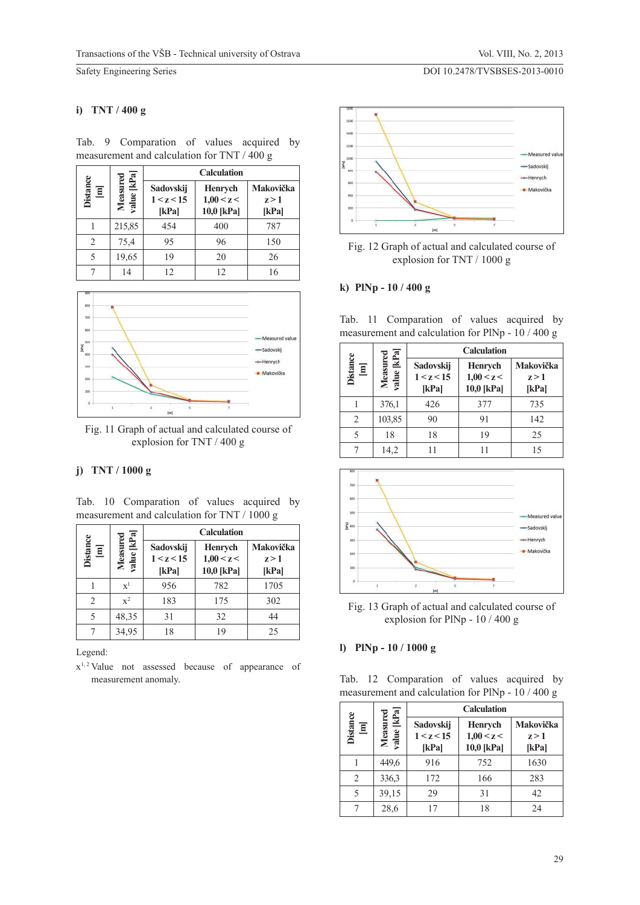DOI 10.2478/TVSBSES-2013-0010

Safety Engineering Series

#### **i) TNT / 400 g**

|                |                        | <b>Calculation</b>               |                                     |                             |  |  |
|----------------|------------------------|----------------------------------|-------------------------------------|-----------------------------|--|--|
| Distance<br>冝  | value [kPa<br>Measured | Sadovskij<br>1 < z < 15<br>[kPa] | Henrych<br>1,00 < z <<br>10,0 [kPa] | Makovička<br>z > 1<br>[kPa] |  |  |
|                | 215,85                 | 454                              | 400                                 | 787                         |  |  |
| $\overline{c}$ | 75,4                   | 95                               | 96                                  | 150                         |  |  |
| 5              | 19,65                  | 19                               | 20                                  | 26                          |  |  |
|                | 14                     | 12                               | 12                                  | 16                          |  |  |

Tab. 9 Comparation of values acquired by measurement and calculation for TNT / 400 g



Fig. 11 Graph of actual and calculated course of explosion for TNT / 400 g

#### **j) TNT / 1000 g**

Tab. 10 Comparation of values acquired by measurement and calculation for TNT / 1000 g

|                                                                  |                                   |                                  | <b>Calculation</b>                         |                             |  |  |  |
|------------------------------------------------------------------|-----------------------------------|----------------------------------|--------------------------------------------|-----------------------------|--|--|--|
| $\begin{array}{c} \textbf{Distance} \\ \textbf{[m]} \end{array}$ | [kPa]<br>ured<br>Meası<br>value [ | Sadovskij<br>1 < z < 15<br>[kPa] | <b>Henrych</b><br>1,00 < z <<br>10,0 [kPa] | Makovička<br>z > 1<br>[kPa] |  |  |  |
|                                                                  | $\mathbf{x}^1$                    | 956                              | 782                                        | 1705                        |  |  |  |
|                                                                  | $\mathbf{x}^2$                    | 183                              | 175                                        | 302                         |  |  |  |
|                                                                  | 48,35                             | 31                               | 32                                         | 44                          |  |  |  |
|                                                                  | 34,95                             | 18                               | 19                                         | 25                          |  |  |  |

Legend:

x1, 2 Value not assessed because of appearance of measurement anomaly.



Fig. 12 Graph of actual and calculated course of explosion for TNT / 1000 g

### **k) PlNp - 10 / 400 g**

|  |  |  | Tab. 11 Comparation of values acquired by         |  |
|--|--|--|---------------------------------------------------|--|
|  |  |  | measurement and calculation for PlNp - $10/400 g$ |  |

|                                                    |                         | <b>Calculation</b>               |                                            |                             |  |
|----------------------------------------------------|-------------------------|----------------------------------|--------------------------------------------|-----------------------------|--|
| ${\bf Distance} \label{equation:1}$<br>${\bf [m]}$ | value [kPa]<br>Measured | Sadovskij<br>1 < z < 15<br>[kPa] | <b>Henrych</b><br>1,00 < z <<br>10,0 [kPa] | Makovička<br>z > 1<br>[kPa] |  |
|                                                    | 376,1                   | 426                              | 377                                        | 735                         |  |
| 2                                                  | 103,85                  | 90                               | 91                                         | 142                         |  |
| 5                                                  | 18                      | 18                               | 19                                         | 25                          |  |
|                                                    | 14,2                    |                                  | 11                                         | 15                          |  |



Fig. 13 Graph of actual and calculated course of explosion for PlNp - 10 / 400 g

#### **l) PlNp - 10 / 1000 g**

Tab. 12 Comparation of values acquired by measurement and calculation for PlNp - 10 / 400 g

|                      | g                       | <b>Calculation</b>               |                                     |                             |  |  |
|----------------------|-------------------------|----------------------------------|-------------------------------------|-----------------------------|--|--|
| <b>Distance</b><br>冝 | [kPa]<br>Measu<br>value | Sadovskij<br>1 < z < 15<br>[kPa] | Henrych<br>1,00 < z <<br>10,0 [kPa] | Makovička<br>z > 1<br>[kPa] |  |  |
|                      | 449,6                   | 916                              | 752                                 | 1630                        |  |  |
| $\mathfrak{D}$       | 336.3                   | 172                              | 166                                 | 283                         |  |  |
| 5                    | 39,15                   | 29                               | 31                                  | 42                          |  |  |
|                      | 28,6                    |                                  | 18                                  | 24                          |  |  |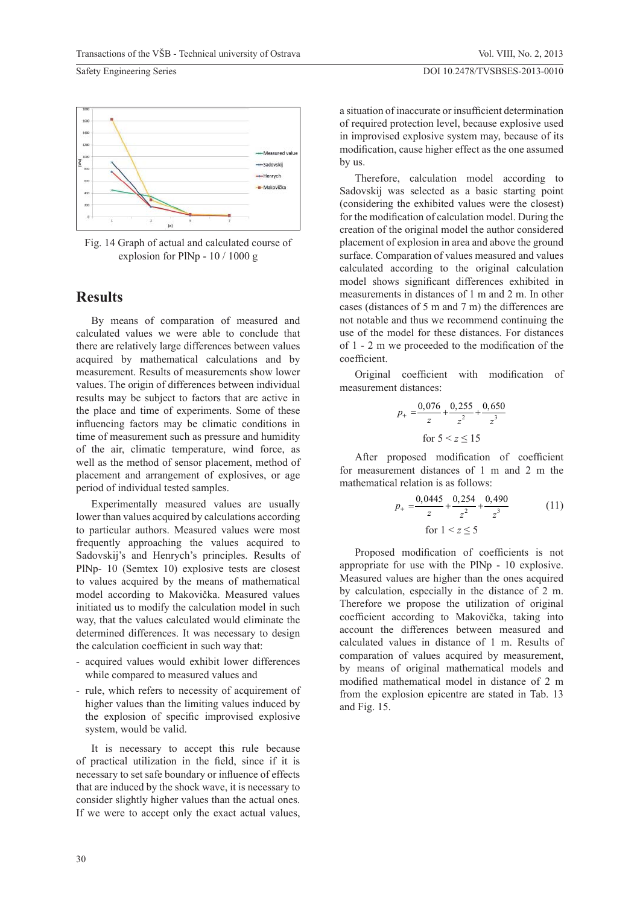Vol. VIII, No. 2, 2013



Fig. 14 Graph of actual and calculated course of explosion for PlNp - 10 / 1000 g

## **Results**

By means of comparation of measured and calculated values we were able to conclude that there are relatively large differences between values acquired by mathematical calculations and by measurement. Results of measurements show lower values. The origin of differences between individual results may be subject to factors that are active in the place and time of experiments. Some of these influencing factors may be climatic conditions in time of measurement such as pressure and humidity of the air, climatic temperature, wind force, as well as the method of sensor placement, method of placement and arrangement of explosives, or age period of individual tested samples.

Experimentally measured values are usually lower than values acquired by calculations according to particular authors. Measured values were most frequently approaching the values acquired to Sadovskij's and Henrych's principles. Results of PlNp- 10 (Semtex 10) explosive tests are closest to values acquired by the means of mathematical model according to Makovička. Measured values initiated us to modify the calculation model in such way, that the values calculated would eliminate the determined differences. It was necessary to design the calculation coefficient in such way that:

- acquired values would exhibit lower differences while compared to measured values and
- rule, which refers to necessity of acquirement of higher values than the limiting values induced by the explosion of specific improvised explosive system, would be valid.

It is necessary to accept this rule because of practical utilization in the field, since if it is necessary to set safe boundary or influence of effects that are induced by the shock wave, it is necessary to consider slightly higher values than the actual ones. If we were to accept only the exact actual values,

a situation of inaccurate or insufficient determination of required protection level, because explosive used in improvised explosive system may, because of its modification, cause higher effect as the one assumed by us.

Therefore, calculation model according to Sadovskij was selected as a basic starting point (considering the exhibited values were the closest) for the modification of calculation model. During the creation of the original model the author considered placement of explosion in area and above the ground surface. Comparation of values measured and values calculated according to the original calculation model shows significant differences exhibited in measurements in distances of 1 m and 2 m. In other cases (distances of 5 m and 7 m) the differences are not notable and thus we recommend continuing the use of the model for these distances. For distances of  $1 - 2$  m we proceeded to the modification of the coefficient.

Original coefficient with modification of measurement distances:

$$
p_{+} = \frac{0.076}{z} + \frac{0.255}{z^{2}} + \frac{0.650}{z^{3}}
$$
  
for  $5 < z \le 15$ 

After proposed modification of coefficient for measurement distances of 1 m and 2 m the mathematical relation is as follows:

$$
p_{+} = \frac{0.0445}{z} + \frac{0.254}{z^{2}} + \frac{0.490}{z^{3}}
$$
 for  $1 < z \le 5$  (11)

Proposed modification of coefficients is not appropriate for use with the PlNp - 10 explosive. Measured values are higher than the ones acquired by calculation, especially in the distance of 2 m. Therefore we propose the utilization of original coefficient according to Makovička, taking into account the differences between measured and calculated values in distance of 1 m. Results of comparation of values acquired by measurement, by means of original mathematical models and modified mathematical model in distance of 2 m from the explosion epicentre are stated in Tab. 13 and Fig. 15.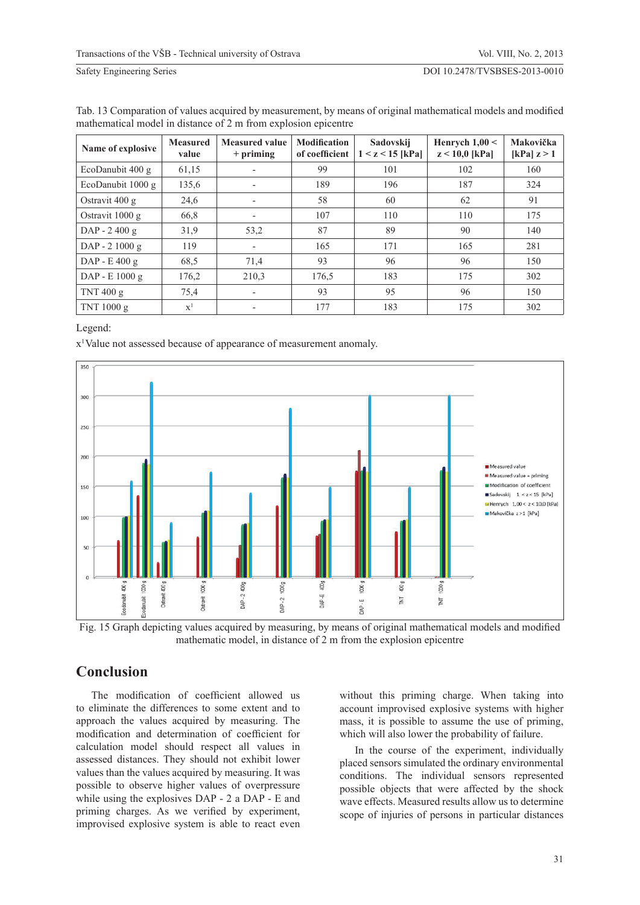| Name of explosive | <b>Measured</b><br>value | <b>Measured value</b><br>$+$ priming | <b>Modification</b><br>of coefficient | Sadovskij<br>$1 < z < 15$ [kPa] | Henrych $1,00 <$<br>$z < 10,0$ [kPa] | Makovička<br>[kPa] $z > 1$ |
|-------------------|--------------------------|--------------------------------------|---------------------------------------|---------------------------------|--------------------------------------|----------------------------|
| EcoDanubit 400 g  | 61,15                    | $\overline{\phantom{a}}$             | 99                                    | 101                             | 102                                  | 160                        |
| EcoDanubit 1000 g | 135,6                    | ٠                                    | 189                                   | 196                             | 187                                  | 324                        |
| Ostravit $400 g$  | 24,6                     | ٠                                    | 58                                    | 60                              | 62                                   | 91                         |
| Ostravit $1000 g$ | 66,8                     | ٠                                    | 107                                   | 110                             | 110                                  | 175                        |
| DAP - 2 400 g     | 31,9                     | 53,2                                 | 87                                    | 89                              | 90                                   | 140                        |
| $DAP - 21000 g$   | 119                      |                                      | 165                                   | 171                             | 165                                  | 281                        |
| $DAP - E 400 g$   | 68.5                     | 71,4                                 | 93                                    | 96                              | 96                                   | 150                        |
| DAP - E 1000 g    | 176,2                    | 210,3                                | 176,5                                 | 183                             | 175                                  | 302                        |
| TNT 400 g         | 75,4                     | ٠                                    | 93                                    | 95                              | 96                                   | 150                        |
| TNT 1000 g        | $\mathbf{x}^1$           |                                      | 177                                   | 183                             | 175                                  | 302                        |

| Tab. 13 Comparation of values acquired by measurement, by means of original mathematical models and modified |
|--------------------------------------------------------------------------------------------------------------|
| mathematical model in distance of 2 m from explosion epicentre                                               |

Legend:

x<sup>1</sup>Value not assessed because of appearance of measurement anomaly.



Fig. 15 Graph depicting values acquired by measuring, by means of original mathematical models and modified mathematic model, in distance of 2 m from the explosion epicentre

## **Conclusion**

The modification of coefficient allowed us to eliminate the differences to some extent and to approach the values acquired by measuring. The modification and determination of coefficient for calculation model should respect all values in assessed distances. They should not exhibit lower values than the values acquired by measuring. It was possible to observe higher values of overpressure while using the explosives DAP - 2 a DAP - E and priming charges. As we verified by experiment, improvised explosive system is able to react even

without this priming charge. When taking into account improvised explosive systems with higher mass, it is possible to assume the use of priming, which will also lower the probability of failure.

In the course of the experiment, individually placed sensors simulated the ordinary environmental conditions. The individual sensors represented possible objects that were affected by the shock wave effects. Measured results allow us to determine scope of injuries of persons in particular distances